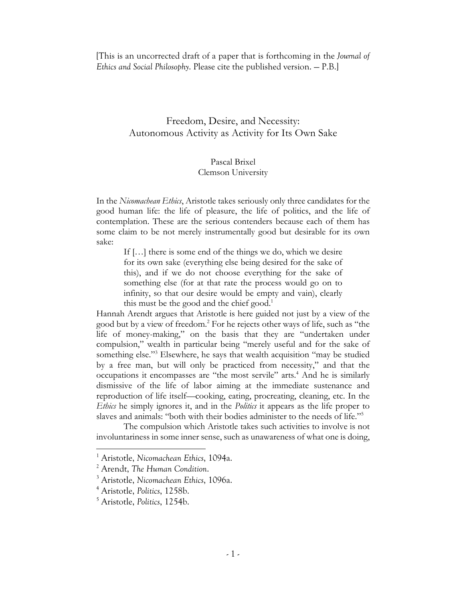[This is an uncorrected draft of a paper that is forthcoming in the *Journal of Ethics and Social Philosophy*. Please cite the published version. — P.B.]

# Freedom, Desire, and Necessity: Autonomous Activity as Activity for Its Own Sake

# Pascal Brixel Clemson University

In the *Nicomachean Ethics*, Aristotle takes seriously only three candidates for the good human life: the life of pleasure, the life of politics, and the life of contemplation. These are the serious contenders because each of them has some claim to be not merely instrumentally good but desirable for its own sake:

If […] there is some end of the things we do, which we desire for its own sake (everything else being desired for the sake of this), and if we do not choose everything for the sake of something else (for at that rate the process would go on to infinity, so that our desire would be empty and vain), clearly this must be the good and the chief good.<sup>1</sup>

Hannah Arendt argues that Aristotle is here guided not just by a view of the good but by a view of freedom.2 For he rejects other ways of life, such as "the life of money-making," on the basis that they are "undertaken under compulsion," wealth in particular being "merely useful and for the sake of something else."<sup>3</sup> Elsewhere, he says that wealth acquisition "may be studied by a free man, but will only be practiced from necessity," and that the occupations it encompasses are "the most servile" arts.<sup>4</sup> And he is similarly dismissive of the life of labor aiming at the immediate sustenance and reproduction of life itself—cooking, eating, procreating, cleaning, etc. In the *Ethics* he simply ignores it, and in the *Politics* it appears as the life proper to slaves and animals: "both with their bodies administer to the needs of life."5

The compulsion which Aristotle takes such activities to involve is not involuntariness in some inner sense, such as unawareness of what one is doing,

<sup>1</sup> Aristotle, *Nicomachean Ethics*, 1094a.

<sup>2</sup> Arendt, *The Human Condition*.

<sup>3</sup> Aristotle, *Nicomachean Ethics*, 1096a.

<sup>4</sup> Aristotle, *Politics*, 1258b.

<sup>5</sup> Aristotle, *Politics*, 1254b.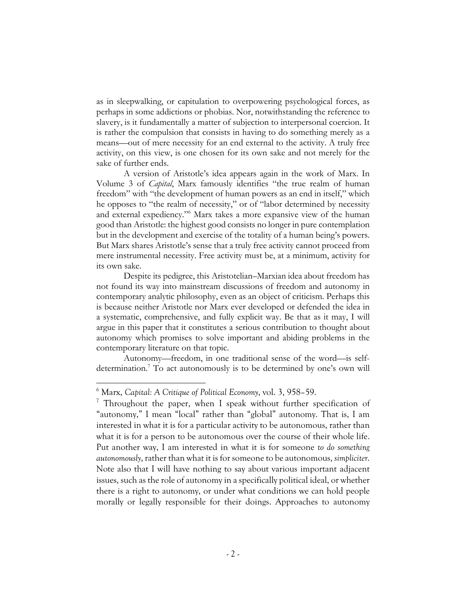as in sleepwalking, or capitulation to overpowering psychological forces, as perhaps in some addictions or phobias. Nor, notwithstanding the reference to slavery, is it fundamentally a matter of subjection to interpersonal coercion. It is rather the compulsion that consists in having to do something merely as a means—out of mere necessity for an end external to the activity. A truly free activity, on this view, is one chosen for its own sake and not merely for the sake of further ends.

A version of Aristotle's idea appears again in the work of Marx. In Volume 3 of *Capital*, Marx famously identifies "the true realm of human freedom" with "the development of human powers as an end in itself," which he opposes to "the realm of necessity," or of "labor determined by necessity and external expediency."6 Marx takes a more expansive view of the human good than Aristotle: the highest good consists no longer in pure contemplation but in the development and exercise of the totality of a human being's powers. But Marx shares Aristotle's sense that a truly free activity cannot proceed from mere instrumental necessity. Free activity must be, at a minimum, activity for its own sake.

Despite its pedigree, this Aristotelian–Marxian idea about freedom has not found its way into mainstream discussions of freedom and autonomy in contemporary analytic philosophy, even as an object of criticism. Perhaps this is because neither Aristotle nor Marx ever developed or defended the idea in a systematic, comprehensive, and fully explicit way. Be that as it may, I will argue in this paper that it constitutes a serious contribution to thought about autonomy which promises to solve important and abiding problems in the contemporary literature on that topic.

Autonomy—freedom, in one traditional sense of the word—is selfdetermination.7 To act autonomously is to be determined by one's own will

<sup>6</sup> Marx, *Capital: A Critique of Political Economy*, vol. 3, 958–59.

<sup>&</sup>lt;sup>7</sup> Throughout the paper, when I speak without further specification of "autonomy," I mean "local" rather than "global" autonomy. That is, I am interested in what it is for a particular activity to be autonomous, rather than what it is for a person to be autonomous over the course of their whole life. Put another way, I am interested in what it is for someone *to do something autonomously*, rather than what it is for someone to be autonomous, *simpliciter*. Note also that I will have nothing to say about various important adjacent issues, such as the role of autonomy in a specifically political ideal, or whether there is a right to autonomy, or under what conditions we can hold people morally or legally responsible for their doings. Approaches to autonomy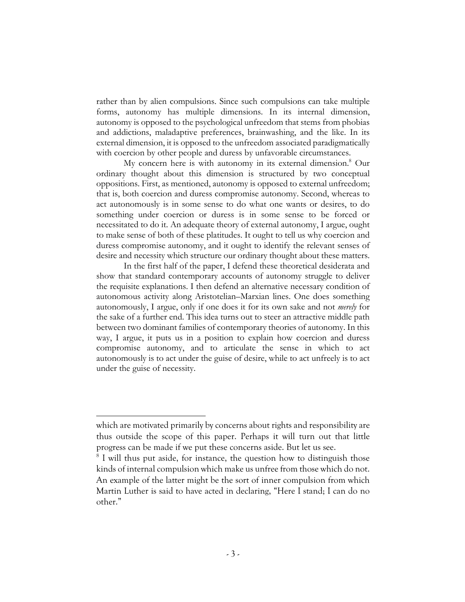rather than by alien compulsions. Since such compulsions can take multiple forms, autonomy has multiple dimensions. In its internal dimension, autonomy is opposed to the psychological unfreedom that stems from phobias and addictions, maladaptive preferences, brainwashing, and the like. In its external dimension, it is opposed to the unfreedom associated paradigmatically with coercion by other people and duress by unfavorable circumstances.

My concern here is with autonomy in its external dimension.<sup>8</sup> Our ordinary thought about this dimension is structured by two conceptual oppositions. First, as mentioned, autonomy is opposed to external unfreedom; that is, both coercion and duress compromise autonomy. Second, whereas to act autonomously is in some sense to do what one wants or desires, to do something under coercion or duress is in some sense to be forced or necessitated to do it. An adequate theory of external autonomy, I argue, ought to make sense of both of these platitudes. It ought to tell us why coercion and duress compromise autonomy, and it ought to identify the relevant senses of desire and necessity which structure our ordinary thought about these matters.

In the first half of the paper, I defend these theoretical desiderata and show that standard contemporary accounts of autonomy struggle to deliver the requisite explanations. I then defend an alternative necessary condition of autonomous activity along Aristotelian–Marxian lines. One does something autonomously, I argue, only if one does it for its own sake and not *merely* for the sake of a further end. This idea turns out to steer an attractive middle path between two dominant families of contemporary theories of autonomy. In this way, I argue, it puts us in a position to explain how coercion and duress compromise autonomy, and to articulate the sense in which to act autonomously is to act under the guise of desire, while to act unfreely is to act under the guise of necessity.

which are motivated primarily by concerns about rights and responsibility are thus outside the scope of this paper. Perhaps it will turn out that little progress can be made if we put these concerns aside. But let us see.

<sup>&</sup>lt;sup>8</sup> I will thus put aside, for instance, the question how to distinguish those kinds of internal compulsion which make us unfree from those which do not. An example of the latter might be the sort of inner compulsion from which Martin Luther is said to have acted in declaring, "Here I stand; I can do no other."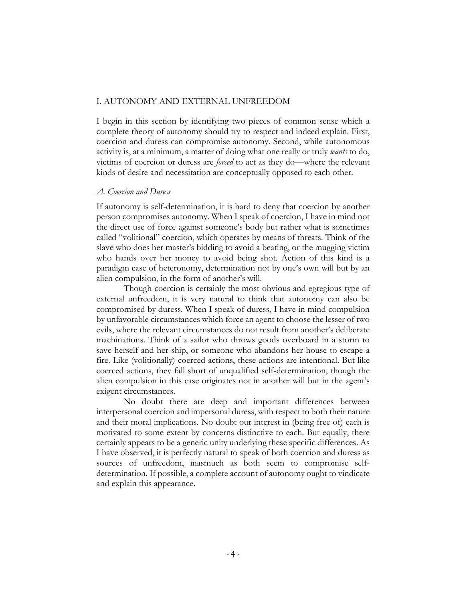#### I. AUTONOMY AND EXTERNAL UNFREEDOM

I begin in this section by identifying two pieces of common sense which a complete theory of autonomy should try to respect and indeed explain. First, coercion and duress can compromise autonomy. Second, while autonomous activity is, at a minimum, a matter of doing what one really or truly *wants* to do, victims of coercion or duress are *forced* to act as they do—where the relevant kinds of desire and necessitation are conceptually opposed to each other.

#### *A. Coercion and Duress*

If autonomy is self-determination, it is hard to deny that coercion by another person compromises autonomy. When I speak of coercion, I have in mind not the direct use of force against someone's body but rather what is sometimes called "volitional" coercion, which operates by means of threats. Think of the slave who does her master's bidding to avoid a beating, or the mugging victim who hands over her money to avoid being shot. Action of this kind is a paradigm case of heteronomy, determination not by one's own will but by an alien compulsion, in the form of another's will.

Though coercion is certainly the most obvious and egregious type of external unfreedom, it is very natural to think that autonomy can also be compromised by duress. When I speak of duress, I have in mind compulsion by unfavorable circumstances which force an agent to choose the lesser of two evils, where the relevant circumstances do not result from another's deliberate machinations. Think of a sailor who throws goods overboard in a storm to save herself and her ship, or someone who abandons her house to escape a fire. Like (volitionally) coerced actions, these actions are intentional. But like coerced actions, they fall short of unqualified self-determination, though the alien compulsion in this case originates not in another will but in the agent's exigent circumstances.

No doubt there are deep and important differences between interpersonal coercion and impersonal duress, with respect to both their nature and their moral implications. No doubt our interest in (being free of) each is motivated to some extent by concerns distinctive to each. But equally, there certainly appears to be a generic unity underlying these specific differences. As I have observed, it is perfectly natural to speak of both coercion and duress as sources of unfreedom, inasmuch as both seem to compromise selfdetermination. If possible, a complete account of autonomy ought to vindicate and explain this appearance.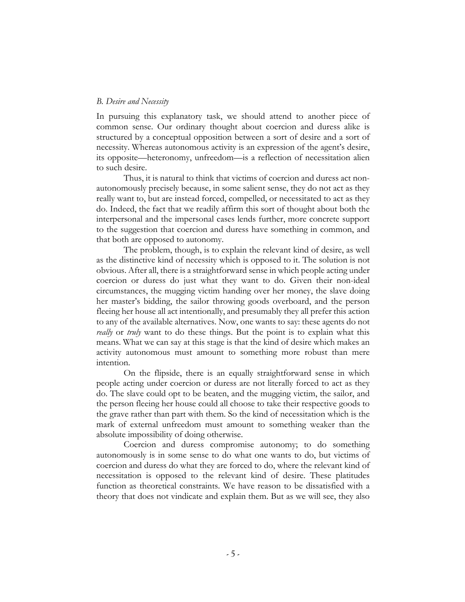#### *B. Desire and Necessity*

In pursuing this explanatory task, we should attend to another piece of common sense. Our ordinary thought about coercion and duress alike is structured by a conceptual opposition between a sort of desire and a sort of necessity. Whereas autonomous activity is an expression of the agent's desire, its opposite—heteronomy, unfreedom—is a reflection of necessitation alien to such desire.

Thus, it is natural to think that victims of coercion and duress act nonautonomously precisely because, in some salient sense, they do not act as they really want to, but are instead forced, compelled, or necessitated to act as they do. Indeed, the fact that we readily affirm this sort of thought about both the interpersonal and the impersonal cases lends further, more concrete support to the suggestion that coercion and duress have something in common, and that both are opposed to autonomy.

The problem, though, is to explain the relevant kind of desire, as well as the distinctive kind of necessity which is opposed to it. The solution is not obvious. After all, there is a straightforward sense in which people acting under coercion or duress do just what they want to do. Given their non-ideal circumstances, the mugging victim handing over her money, the slave doing her master's bidding, the sailor throwing goods overboard, and the person fleeing her house all act intentionally, and presumably they all prefer this action to any of the available alternatives. Now, one wants to say: these agents do not *really* or *truly* want to do these things. But the point is to explain what this means. What we can say at this stage is that the kind of desire which makes an activity autonomous must amount to something more robust than mere intention.

On the flipside, there is an equally straightforward sense in which people acting under coercion or duress are not literally forced to act as they do. The slave could opt to be beaten, and the mugging victim, the sailor, and the person fleeing her house could all choose to take their respective goods to the grave rather than part with them. So the kind of necessitation which is the mark of external unfreedom must amount to something weaker than the absolute impossibility of doing otherwise.

Coercion and duress compromise autonomy; to do something autonomously is in some sense to do what one wants to do, but victims of coercion and duress do what they are forced to do, where the relevant kind of necessitation is opposed to the relevant kind of desire. These platitudes function as theoretical constraints. We have reason to be dissatisfied with a theory that does not vindicate and explain them. But as we will see, they also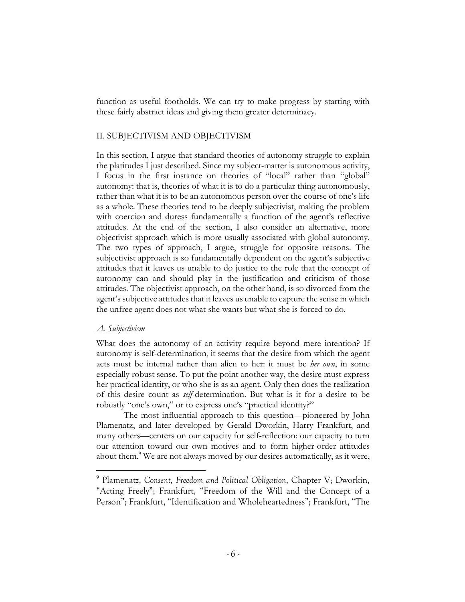function as useful footholds. We can try to make progress by starting with these fairly abstract ideas and giving them greater determinacy.

## II. SUBJECTIVISM AND OBJECTIVISM

In this section, I argue that standard theories of autonomy struggle to explain the platitudes I just described. Since my subject-matter is autonomous activity, I focus in the first instance on theories of "local" rather than "global" autonomy: that is, theories of what it is to do a particular thing autonomously, rather than what it is to be an autonomous person over the course of one's life as a whole. These theories tend to be deeply subjectivist, making the problem with coercion and duress fundamentally a function of the agent's reflective attitudes. At the end of the section, I also consider an alternative, more objectivist approach which is more usually associated with global autonomy. The two types of approach, I argue, struggle for opposite reasons. The subjectivist approach is so fundamentally dependent on the agent's subjective attitudes that it leaves us unable to do justice to the role that the concept of autonomy can and should play in the justification and criticism of those attitudes. The objectivist approach, on the other hand, is so divorced from the agent's subjective attitudes that it leaves us unable to capture the sense in which the unfree agent does not what she wants but what she is forced to do.

### *A. Subjectivism*

What does the autonomy of an activity require beyond mere intention? If autonomy is self-determination, it seems that the desire from which the agent acts must be internal rather than alien to her: it must be *her own*, in some especially robust sense. To put the point another way, the desire must express her practical identity, or who she is as an agent. Only then does the realization of this desire count as *self*-determination. But what is it for a desire to be robustly "one's own," or to express one's "practical identity?"

The most influential approach to this question—pioneered by John Plamenatz, and later developed by Gerald Dworkin, Harry Frankfurt, and many others—centers on our capacity for self-reflection: our capacity to turn our attention toward our own motives and to form higher-order attitudes about them.<sup>9</sup> We are not always moved by our desires automatically, as it were,

<sup>9</sup> Plamenatz, *Consent, Freedom and Political Obligation*, Chapter V; Dworkin, "Acting Freely"; Frankfurt, "Freedom of the Will and the Concept of a Person"; Frankfurt, "Identification and Wholeheartedness"; Frankfurt, "The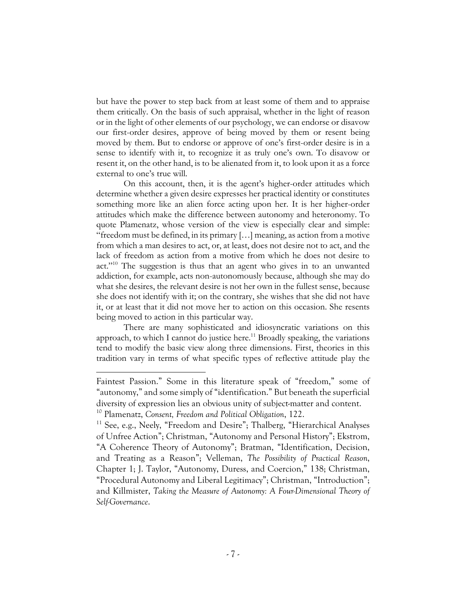but have the power to step back from at least some of them and to appraise them critically. On the basis of such appraisal, whether in the light of reason or in the light of other elements of our psychology, we can endorse or disavow our first-order desires, approve of being moved by them or resent being moved by them. But to endorse or approve of one's first-order desire is in a sense to identify with it, to recognize it as truly one's own. To disavow or resent it, on the other hand, is to be alienated from it, to look upon it as a force external to one's true will.

On this account, then, it is the agent's higher-order attitudes which determine whether a given desire expresses her practical identity or constitutes something more like an alien force acting upon her. It is her higher-order attitudes which make the difference between autonomy and heteronomy. To quote Plamenatz, whose version of the view is especially clear and simple: "freedom must be defined, in its primary […] meaning, as action from a motive from which a man desires to act, or, at least, does not desire not to act, and the lack of freedom as action from a motive from which he does not desire to act."10 The suggestion is thus that an agent who gives in to an unwanted addiction, for example, acts non-autonomously because, although she may do what she desires, the relevant desire is not her own in the fullest sense, because she does not identify with it; on the contrary, she wishes that she did not have it, or at least that it did not move her to action on this occasion. She resents being moved to action in this particular way.

There are many sophisticated and idiosyncratic variations on this approach, to which I cannot do justice here.<sup>11</sup> Broadly speaking, the variations tend to modify the basic view along three dimensions. First, theories in this tradition vary in terms of what specific types of reflective attitude play the

Faintest Passion." Some in this literature speak of "freedom," some of "autonomy," and some simply of "identification." But beneath the superficial diversity of expression lies an obvious unity of subject-matter and content. <sup>10</sup> Plamenatz, *Consent, Freedom and Political Obligation*, 122.

<sup>&</sup>lt;sup>11</sup> See, e.g., Neely, "Freedom and Desire"; Thalberg, "Hierarchical Analyses of Unfree Action"; Christman, "Autonomy and Personal History"; Ekstrom, "A Coherence Theory of Autonomy"; Bratman, "Identification, Decision, and Treating as a Reason"; Velleman, *The Possibility of Practical Reason*, Chapter 1; J. Taylor, "Autonomy, Duress, and Coercion," 138; Christman, "Procedural Autonomy and Liberal Legitimacy"; Christman, "Introduction"; and Killmister, *Taking the Measure of Autonomy: A Four-Dimensional Theory of Self-Governance*.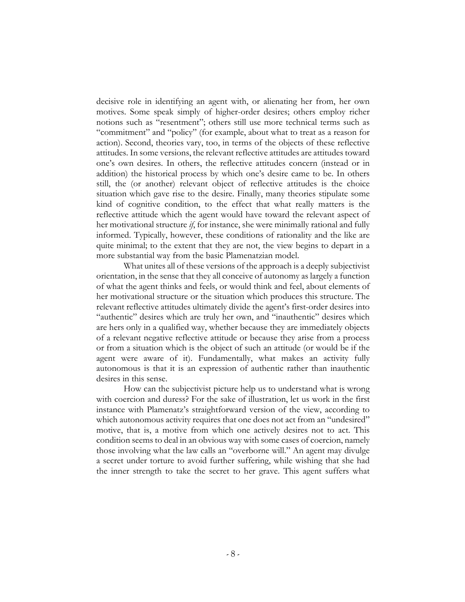decisive role in identifying an agent with, or alienating her from, her own motives. Some speak simply of higher-order desires; others employ richer notions such as "resentment"; others still use more technical terms such as "commitment" and "policy" (for example, about what to treat as a reason for action). Second, theories vary, too, in terms of the objects of these reflective attitudes. In some versions, the relevant reflective attitudes are attitudes toward one's own desires. In others, the reflective attitudes concern (instead or in addition) the historical process by which one's desire came to be. In others still, the (or another) relevant object of reflective attitudes is the choice situation which gave rise to the desire. Finally, many theories stipulate some kind of cognitive condition, to the effect that what really matters is the reflective attitude which the agent would have toward the relevant aspect of her motivational structure *if*, for instance, she were minimally rational and fully informed. Typically, however, these conditions of rationality and the like are quite minimal; to the extent that they are not, the view begins to depart in a more substantial way from the basic Plamenatzian model.

What unites all of these versions of the approach is a deeply subjectivist orientation, in the sense that they all conceive of autonomy as largely a function of what the agent thinks and feels, or would think and feel, about elements of her motivational structure or the situation which produces this structure. The relevant reflective attitudes ultimately divide the agent's first-order desires into "authentic" desires which are truly her own, and "inauthentic" desires which are hers only in a qualified way, whether because they are immediately objects of a relevant negative reflective attitude or because they arise from a process or from a situation which is the object of such an attitude (or would be if the agent were aware of it). Fundamentally, what makes an activity fully autonomous is that it is an expression of authentic rather than inauthentic desires in this sense.

How can the subjectivist picture help us to understand what is wrong with coercion and duress? For the sake of illustration, let us work in the first instance with Plamenatz's straightforward version of the view, according to which autonomous activity requires that one does not act from an "undesired" motive, that is, a motive from which one actively desires not to act. This condition seems to deal in an obvious way with some cases of coercion, namely those involving what the law calls an "overborne will." An agent may divulge a secret under torture to avoid further suffering, while wishing that she had the inner strength to take the secret to her grave. This agent suffers what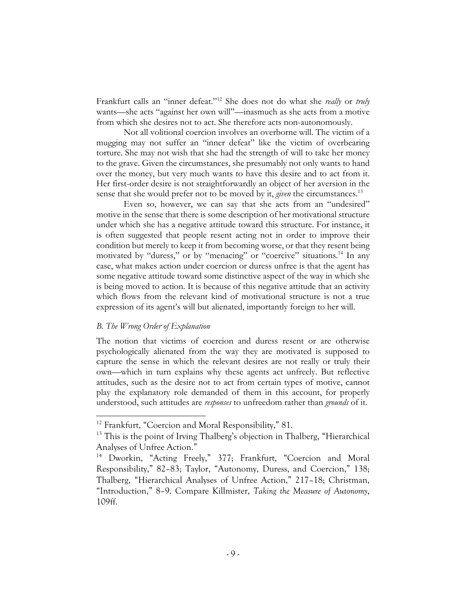Frankfurt calls an "inner defeat."12 She does not do what she *really* or *truly* wants—she acts "against her own will"—inasmuch as she acts from a motive from which she desires not to act. She therefore acts non-autonomously.

Not all volitional coercion involves an overborne will. The victim of a mugging may not suffer an "inner defeat" like the victim of overbearing torture. She may not wish that she had the strength of will to take her money to the grave. Given the circumstances, she presumably not only wants to hand over the money, but very much wants to have this desire and to act from it. Her first-order desire is not straightforwardly an object of her aversion in the sense that she would prefer not to be moved by it, *given* the circumstances.<sup>13</sup>

Even so, however, we can say that she acts from an "undesired" motive in the sense that there is some description of her motivational structure under which she has a negative attitude toward this structure. For instance, it is often suggested that people resent acting not in order to improve their condition but merely to keep it from becoming worse, or that they resent being motivated by "duress," or by "menacing" or "coercive" situations.<sup>14</sup> In any case, what makes action under coercion or duress unfree is that the agent has some negative attitude toward some distinctive aspect of the way in which she is being moved to action. It is because of this negative attitude that an activity which flows from the relevant kind of motivational structure is not a true expression of its agent's will but alienated, importantly foreign to her will.

## *B. The Wrong Order of Explanation*

The notion that victims of coercion and duress resent or are otherwise psychologically alienated from the way they are motivated is supposed to capture the sense in which the relevant desires are not really or truly their own—which in turn explains why these agents act unfreely. But reflective attitudes, such as the desire not to act from certain types of motive, cannot play the explanatory role demanded of them in this account, for properly understood, such attitudes are *responses* to unfreedom rather than *grounds* of it.

<sup>&</sup>lt;sup>12</sup> Frankfurt, "Coercion and Moral Responsibility," 81.

 $13$  This is the point of Irving Thalberg's objection in Thalberg, "Hierarchical Analyses of Unfree Action."

<sup>14</sup> Dworkin, "Acting Freely," 377; Frankfurt, "Coercion and Moral Responsibility," 82–83; Taylor, "Autonomy, Duress, and Coercion," 138; Thalberg, "Hierarchical Analyses of Unfree Action," 217–18; Christman, "Introduction," 8–9. Compare Killmister, *Taking the Measure of Autonomy*, 109ff.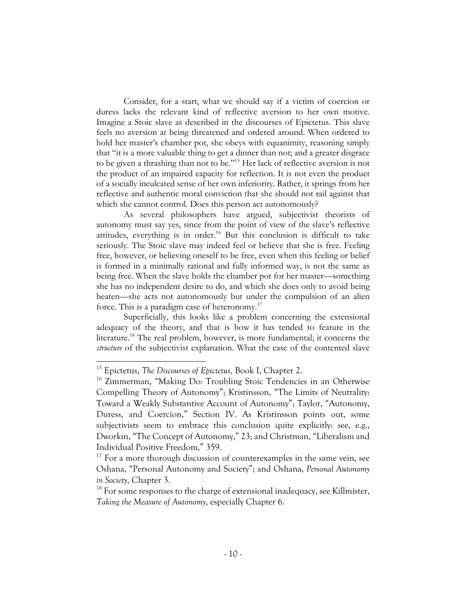Consider, for a start, what we should say if a victim of coercion or duress lacks the relevant kind of reflective aversion to her own motive. Imagine a Stoic slave as described in the discourses of Epictetus. This slave feels no aversion at being threatened and ordered around. When ordered to hold her master's chamber pot, she obeys with equanimity, reasoning simply that "it is a more valuable thing to get a dinner than not; and a greater disgrace to be given a thrashing than not to be."15 Her lack of reflective aversion is not the product of an impaired capacity for reflection. It is not even the product of a socially inculcated sense of her own inferiority. Rather, it springs from her reflective and authentic moral conviction that she should not rail against that which she cannot control. Does this person act autonomously?

As several philosophers have argued, subjectivist theorists of autonomy must say yes, since from the point of view of the slave's reflective attitudes, everything is in order.<sup>16</sup> But this conclusion is difficult to take seriously. The Stoic slave may indeed feel or believe that she is free. Feeling free, however, or believing oneself to be free, even when this feeling or belief is formed in a minimally rational and fully informed way, is not the same as being free. When the slave holds the chamber pot for her master—something she has no independent desire to do, and which she does only to avoid being beaten—she acts not autonomously but under the compulsion of an alien force. This is a paradigm case of heteronomy.17

Superficially, this looks like a problem concerning the extensional adequacy of the theory, and that is how it has tended to feature in the literature.<sup>18</sup> The real problem, however, is more fundamental; it concerns the *structure* of the subjectivist explanation. What the case of the contented slave

<sup>15</sup> Epictetus, *The Discourses of Epictetus*, Book I, Chapter 2.

<sup>&</sup>lt;sup>16</sup> Zimmerman, "Making Do: Troubling Stoic Tendencies in an Otherwise Compelling Theory of Autonomy"; Kristinsson, "The Limits of Neutrality: Toward a Weakly Substantive Account of Autonomy"; Taylor, "Autonomy, Duress, and Coercion," Section IV. As Kristinsson points out, some subjectivists seem to embrace this conclusion quite explicitly: see, e.g., Dworkin, "The Concept of Autonomy," 23; and Christman, "Liberalism and Individual Positive Freedom," 359.

<sup>&</sup>lt;sup>17</sup> For a more thorough discussion of counterexamples in the same vein, see Oshana, "Personal Autonomy and Society"; and Oshana, *Personal Autonomy in Society*, Chapter 3.

 $18$  For some responses to the charge of extensional inadequacy, see Killmister, *Taking the Measure of Autonomy*, especially Chapter 6.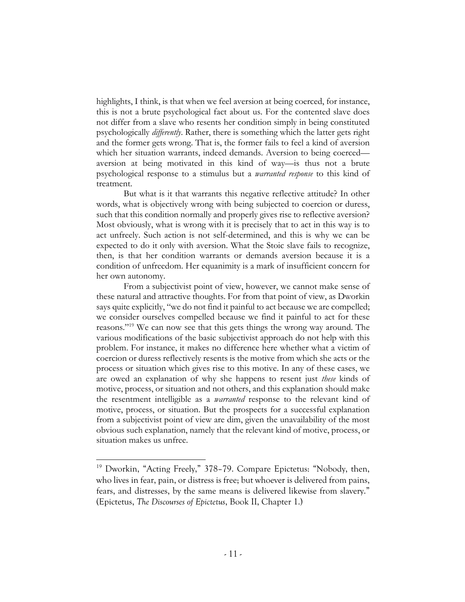highlights, I think, is that when we feel aversion at being coerced, for instance, this is not a brute psychological fact about us. For the contented slave does not differ from a slave who resents her condition simply in being constituted psychologically *differently*. Rather, there is something which the latter gets right and the former gets wrong. That is, the former fails to feel a kind of aversion which her situation warrants, indeed demands. Aversion to being coerced aversion at being motivated in this kind of way—is thus not a brute psychological response to a stimulus but a *warranted response* to this kind of treatment.

But what is it that warrants this negative reflective attitude? In other words, what is objectively wrong with being subjected to coercion or duress, such that this condition normally and properly gives rise to reflective aversion? Most obviously, what is wrong with it is precisely that to act in this way is to act unfreely. Such action is not self-determined, and this is why we can be expected to do it only with aversion. What the Stoic slave fails to recognize, then, is that her condition warrants or demands aversion because it is a condition of unfreedom. Her equanimity is a mark of insufficient concern for her own autonomy.

From a subjectivist point of view, however, we cannot make sense of these natural and attractive thoughts. For from that point of view, as Dworkin says quite explicitly, "we do not find it painful to act because we are compelled; we consider ourselves compelled because we find it painful to act for these reasons."19 We can now see that this gets things the wrong way around. The various modifications of the basic subjectivist approach do not help with this problem. For instance, it makes no difference here whether what a victim of coercion or duress reflectively resents is the motive from which she acts or the process or situation which gives rise to this motive. In any of these cases, we are owed an explanation of why she happens to resent just *these* kinds of motive, process, or situation and not others, and this explanation should make the resentment intelligible as a *warranted* response to the relevant kind of motive, process, or situation. But the prospects for a successful explanation from a subjectivist point of view are dim, given the unavailability of the most obvious such explanation, namely that the relevant kind of motive, process, or situation makes us unfree.

<sup>&</sup>lt;sup>19</sup> Dworkin, "Acting Freely," 378-79. Compare Epictetus: "Nobody, then, who lives in fear, pain, or distress is free; but whoever is delivered from pains, fears, and distresses, by the same means is delivered likewise from slavery." (Epictetus, *The Discourses of Epictetus*, Book II, Chapter 1.)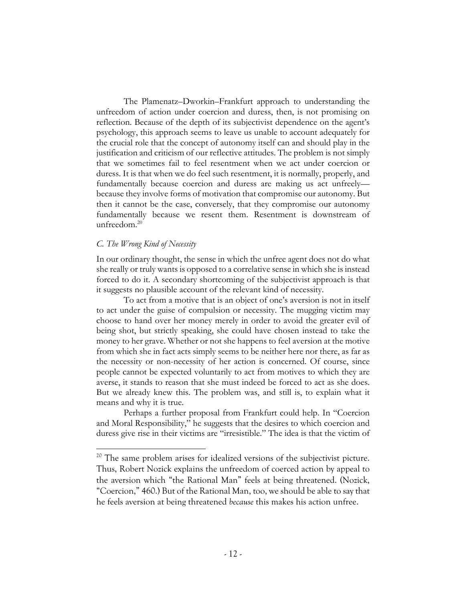The Plamenatz–Dworkin–Frankfurt approach to understanding the unfreedom of action under coercion and duress, then, is not promising on reflection. Because of the depth of its subjectivist dependence on the agent's psychology, this approach seems to leave us unable to account adequately for the crucial role that the concept of autonomy itself can and should play in the justification and criticism of our reflective attitudes. The problem is not simply that we sometimes fail to feel resentment when we act under coercion or duress. It is that when we do feel such resentment, it is normally, properly, and fundamentally because coercion and duress are making us act unfreely because they involve forms of motivation that compromise our autonomy. But then it cannot be the case, conversely, that they compromise our autonomy fundamentally because we resent them. Resentment is downstream of unfreedom.<sup>20</sup>

## *C. The Wrong Kind of Necessity*

In our ordinary thought, the sense in which the unfree agent does not do what she really or truly wants is opposed to a correlative sense in which she is instead forced to do it. A secondary shortcoming of the subjectivist approach is that it suggests no plausible account of the relevant kind of necessity.

To act from a motive that is an object of one's aversion is not in itself to act under the guise of compulsion or necessity. The mugging victim may choose to hand over her money merely in order to avoid the greater evil of being shot, but strictly speaking, she could have chosen instead to take the money to her grave. Whether or not she happens to feel aversion at the motive from which she in fact acts simply seems to be neither here nor there, as far as the necessity or non-necessity of her action is concerned. Of course, since people cannot be expected voluntarily to act from motives to which they are averse, it stands to reason that she must indeed be forced to act as she does. But we already knew this. The problem was, and still is, to explain what it means and why it is true.

Perhaps a further proposal from Frankfurt could help. In "Coercion and Moral Responsibility," he suggests that the desires to which coercion and duress give rise in their victims are "irresistible." The idea is that the victim of

<sup>&</sup>lt;sup>20</sup> The same problem arises for idealized versions of the subjectivist picture. Thus, Robert Nozick explains the unfreedom of coerced action by appeal to the aversion which "the Rational Man" feels at being threatened. (Nozick, "Coercion," 460.) But of the Rational Man, too, we should be able to say that he feels aversion at being threatened *because* this makes his action unfree.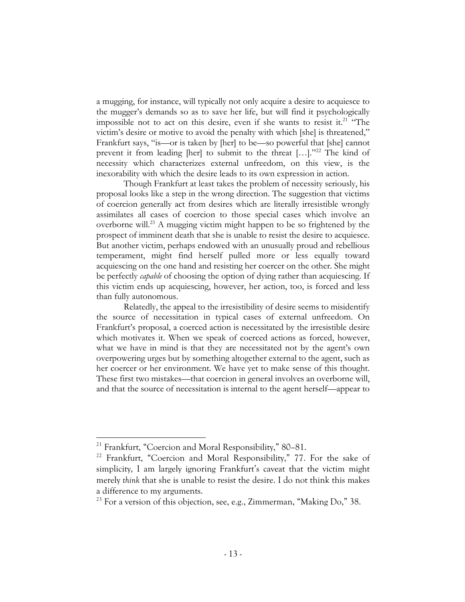a mugging, for instance, will typically not only acquire a desire to acquiesce to the mugger's demands so as to save her life, but will find it psychologically impossible not to act on this desire, even if she wants to resist it.<sup>21</sup> "The victim's desire or motive to avoid the penalty with which [she] is threatened," Frankfurt says, "is—or is taken by [her] to be—so powerful that [she] cannot prevent it from leading [her] to submit to the threat [...]."<sup>22</sup> The kind of necessity which characterizes external unfreedom, on this view, is the inexorability with which the desire leads to its own expression in action.

Though Frankfurt at least takes the problem of necessity seriously, his proposal looks like a step in the wrong direction. The suggestion that victims of coercion generally act from desires which are literally irresistible wrongly assimilates all cases of coercion to those special cases which involve an overborne will.23 A mugging victim might happen to be so frightened by the prospect of imminent death that she is unable to resist the desire to acquiesce. But another victim, perhaps endowed with an unusually proud and rebellious temperament, might find herself pulled more or less equally toward acquiescing on the one hand and resisting her coercer on the other. She might be perfectly *capable* of choosing the option of dying rather than acquiescing. If this victim ends up acquiescing, however, her action, too, is forced and less than fully autonomous.

Relatedly, the appeal to the irresistibility of desire seems to misidentify the source of necessitation in typical cases of external unfreedom. On Frankfurt's proposal, a coerced action is necessitated by the irresistible desire which motivates it. When we speak of coerced actions as forced, however, what we have in mind is that they are necessitated not by the agent's own overpowering urges but by something altogether external to the agent, such as her coercer or her environment. We have yet to make sense of this thought. These first two mistakes—that coercion in general involves an overborne will, and that the source of necessitation is internal to the agent herself—appear to

 $21$  Frankfurt, "Coercion and Moral Responsibility," 80-81.

<sup>&</sup>lt;sup>22</sup> Frankfurt, "Coercion and Moral Responsibility," 77. For the sake of simplicity, I am largely ignoring Frankfurt's caveat that the victim might merely *think* that she is unable to resist the desire. I do not think this makes a difference to my arguments.

<sup>&</sup>lt;sup>23</sup> For a version of this objection, see, e.g., Zimmerman, "Making Do," 38.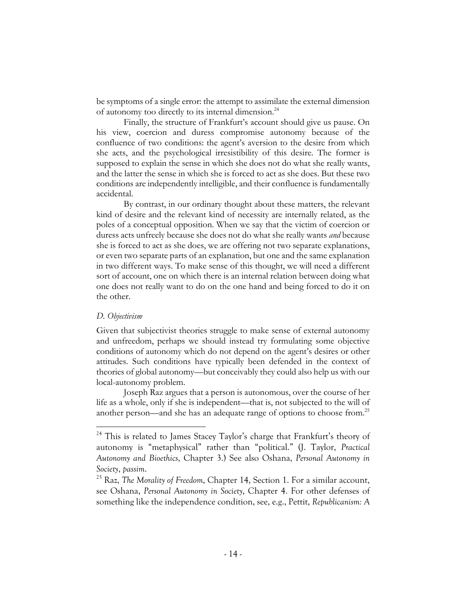be symptoms of a single error: the attempt to assimilate the external dimension of autonomy too directly to its internal dimension.<sup>24</sup>

Finally, the structure of Frankfurt's account should give us pause. On his view, coercion and duress compromise autonomy because of the confluence of two conditions: the agent's aversion to the desire from which she acts, and the psychological irresistibility of this desire. The former is supposed to explain the sense in which she does not do what she really wants, and the latter the sense in which she is forced to act as she does. But these two conditions are independently intelligible, and their confluence is fundamentally accidental.

By contrast, in our ordinary thought about these matters, the relevant kind of desire and the relevant kind of necessity are internally related, as the poles of a conceptual opposition. When we say that the victim of coercion or duress acts unfreely because she does not do what she really wants *and* because she is forced to act as she does, we are offering not two separate explanations, or even two separate parts of an explanation, but one and the same explanation in two different ways. To make sense of this thought, we will need a different sort of account, one on which there is an internal relation between doing what one does not really want to do on the one hand and being forced to do it on the other.

# *D. Objectivism*

Given that subjectivist theories struggle to make sense of external autonomy and unfreedom, perhaps we should instead try formulating some objective conditions of autonomy which do not depend on the agent's desires or other attitudes. Such conditions have typically been defended in the context of theories of global autonomy—but conceivably they could also help us with our local-autonomy problem.

Joseph Raz argues that a person is autonomous, over the course of her life as a whole, only if she is independent—that is, not subjected to the will of another person—and she has an adequate range of options to choose from.25

<sup>&</sup>lt;sup>24</sup> This is related to James Stacey Taylor's charge that Frankfurt's theory of autonomy is "metaphysical" rather than "political." (J. Taylor, *Practical Autonomy and Bioethics*, Chapter 3.) See also Oshana, *Personal Autonomy in Society*, *passim*.

<sup>25</sup> Raz, *The Morality of Freedom*, Chapter 14, Section 1. For a similar account, see Oshana, *Personal Autonomy in Society*, Chapter 4. For other defenses of something like the independence condition, see, e.g., Pettit, *Republicanism: A*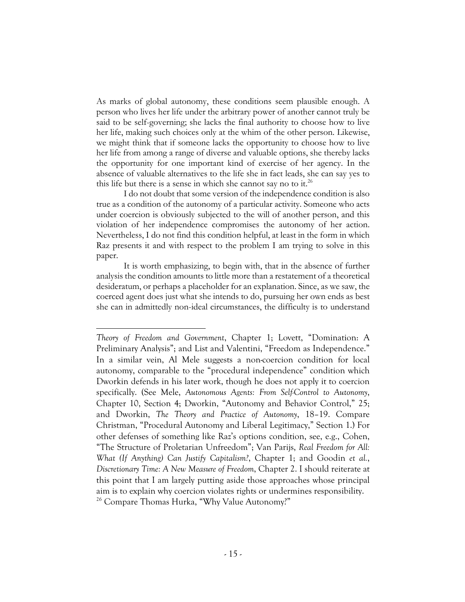As marks of global autonomy, these conditions seem plausible enough. A person who lives her life under the arbitrary power of another cannot truly be said to be self-governing; she lacks the final authority to choose how to live her life, making such choices only at the whim of the other person. Likewise, we might think that if someone lacks the opportunity to choose how to live her life from among a range of diverse and valuable options, she thereby lacks the opportunity for one important kind of exercise of her agency. In the absence of valuable alternatives to the life she in fact leads, she can say yes to this life but there is a sense in which she cannot say no to it.<sup>26</sup>

I do not doubt that some version of the independence condition is also true as a condition of the autonomy of a particular activity. Someone who acts under coercion is obviously subjected to the will of another person, and this violation of her independence compromises the autonomy of her action. Nevertheless, I do not find this condition helpful, at least in the form in which Raz presents it and with respect to the problem I am trying to solve in this paper.

It is worth emphasizing, to begin with, that in the absence of further analysis the condition amounts to little more than a restatement of a theoretical desideratum, or perhaps a placeholder for an explanation. Since, as we saw, the coerced agent does just what she intends to do, pursuing her own ends as best she can in admittedly non-ideal circumstances, the difficulty is to understand

*Theory of Freedom and Government*, Chapter 1; Lovett, "Domination: A Preliminary Analysis"; and List and Valentini, "Freedom as Independence." In a similar vein, Al Mele suggests a non-coercion condition for local autonomy, comparable to the "procedural independence" condition which Dworkin defends in his later work, though he does not apply it to coercion specifically. (See Mele, *Autonomous Agents: From Self-Control to Autonomy*, Chapter 10, Section 4; Dworkin, "Autonomy and Behavior Control," 25; and Dworkin, *The Theory and Practice of Autonomy*, 18–19. Compare Christman, "Procedural Autonomy and Liberal Legitimacy," Section 1.) For other defenses of something like Raz's options condition, see, e.g., Cohen, "The Structure of Proletarian Unfreedom"; Van Parijs, *Real Freedom for All: What (If Anything) Can Justify Capitalism?*, Chapter 1; and Goodin *et al.*, *Discretionary Time: A New Measure of Freedom*, Chapter 2. I should reiterate at this point that I am largely putting aside those approaches whose principal aim is to explain why coercion violates rights or undermines responsibility. <sup>26</sup> Compare Thomas Hurka, "Why Value Autonomy?"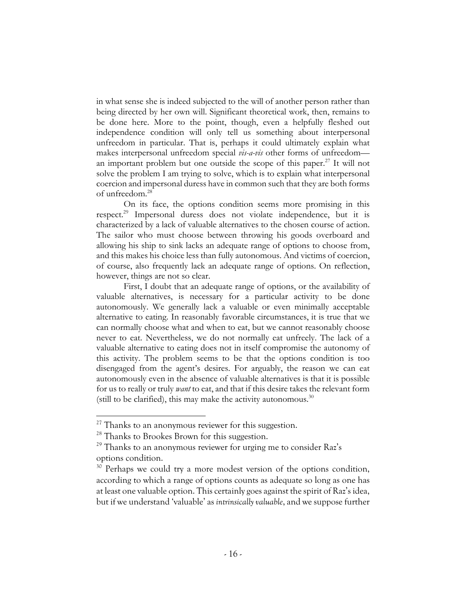in what sense she is indeed subjected to the will of another person rather than being directed by her own will. Significant theoretical work, then, remains to be done here. More to the point, though, even a helpfully fleshed out independence condition will only tell us something about interpersonal unfreedom in particular. That is, perhaps it could ultimately explain what makes interpersonal unfreedom special *vis-a-vis* other forms of unfreedom an important problem but one outside the scope of this paper. $27$  It will not solve the problem I am trying to solve, which is to explain what interpersonal coercion and impersonal duress have in common such that they are both forms of unfreedom.28

On its face, the options condition seems more promising in this respect.29 Impersonal duress does not violate independence, but it is characterized by a lack of valuable alternatives to the chosen course of action. The sailor who must choose between throwing his goods overboard and allowing his ship to sink lacks an adequate range of options to choose from, and this makes his choice less than fully autonomous. And victims of coercion, of course, also frequently lack an adequate range of options. On reflection, however, things are not so clear.

First, I doubt that an adequate range of options, or the availability of valuable alternatives, is necessary for a particular activity to be done autonomously. We generally lack a valuable or even minimally acceptable alternative to eating. In reasonably favorable circumstances, it is true that we can normally choose what and when to eat, but we cannot reasonably choose never to eat. Nevertheless, we do not normally eat unfreely. The lack of a valuable alternative to eating does not in itself compromise the autonomy of this activity. The problem seems to be that the options condition is too disengaged from the agent's desires. For arguably, the reason we can eat autonomously even in the absence of valuable alternatives is that it is possible for us to really or truly *want* to eat, and that if this desire takes the relevant form (still to be clarified), this may make the activity autonomous. $30$ 

 $27$  Thanks to an anonymous reviewer for this suggestion.

<sup>&</sup>lt;sup>28</sup> Thanks to Brookes Brown for this suggestion.

 $^{29}$  Thanks to an anonymous reviewer for urging me to consider Raz's options condition.

<sup>&</sup>lt;sup>30</sup> Perhaps we could try a more modest version of the options condition, according to which a range of options counts as adequate so long as one has at least one valuable option. This certainly goes against the spirit of Raz's idea, but if we understand 'valuable' as *intrinsically valuable*, and we suppose further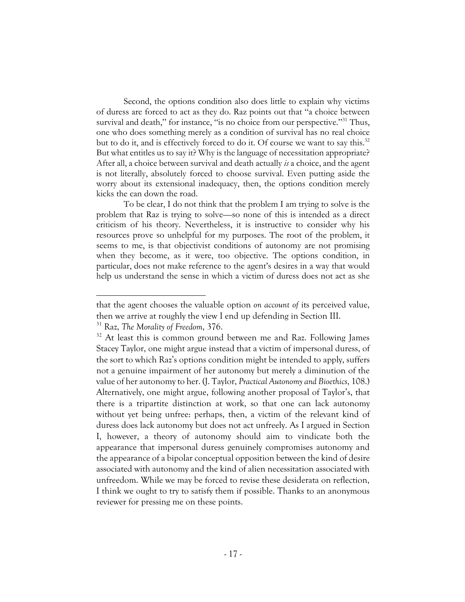Second, the options condition also does little to explain why victims of duress are forced to act as they do. Raz points out that "a choice between survival and death," for instance, "is no choice from our perspective."<sup>31</sup> Thus, one who does something merely as a condition of survival has no real choice but to do it, and is effectively forced to do it. Of course we want to say this.<sup>32</sup> But what entitles us to say it? Why is the language of necessitation appropriate? After all, a choice between survival and death actually *is* a choice, and the agent is not literally, absolutely forced to choose survival. Even putting aside the worry about its extensional inadequacy, then, the options condition merely kicks the can down the road.

To be clear, I do not think that the problem I am trying to solve is the problem that Raz is trying to solve—so none of this is intended as a direct criticism of his theory. Nevertheless, it is instructive to consider why his resources prove so unhelpful for my purposes. The root of the problem, it seems to me, is that objectivist conditions of autonomy are not promising when they become, as it were, too objective. The options condition, in particular, does not make reference to the agent's desires in a way that would help us understand the sense in which a victim of duress does not act as she

that the agent chooses the valuable option *on account of* its perceived value, then we arrive at roughly the view I end up defending in Section III.

<sup>31</sup> Raz, *The Morality of Freedom*, 376.

 $32$  At least this is common ground between me and Raz. Following James Stacey Taylor, one might argue instead that a victim of impersonal duress, of the sort to which Raz's options condition might be intended to apply, suffers not a genuine impairment of her autonomy but merely a diminution of the value of her autonomy to her. (J. Taylor, *Practical Autonomy and Bioethics*, 108.) Alternatively, one might argue, following another proposal of Taylor's, that there is a tripartite distinction at work, so that one can lack autonomy without yet being unfree: perhaps, then, a victim of the relevant kind of duress does lack autonomy but does not act unfreely. As I argued in Section I, however, a theory of autonomy should aim to vindicate both the appearance that impersonal duress genuinely compromises autonomy and the appearance of a bipolar conceptual opposition between the kind of desire associated with autonomy and the kind of alien necessitation associated with unfreedom. While we may be forced to revise these desiderata on reflection, I think we ought to try to satisfy them if possible. Thanks to an anonymous reviewer for pressing me on these points.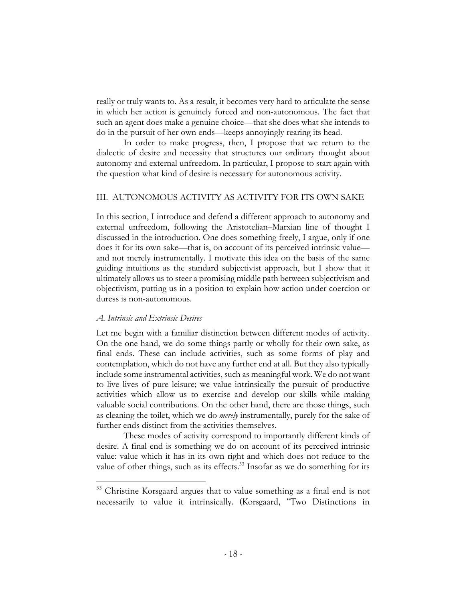really or truly wants to. As a result, it becomes very hard to articulate the sense in which her action is genuinely forced and non-autonomous. The fact that such an agent does make a genuine choice—that she does what she intends to do in the pursuit of her own ends—keeps annoyingly rearing its head.

In order to make progress, then, I propose that we return to the dialectic of desire and necessity that structures our ordinary thought about autonomy and external unfreedom. In particular, I propose to start again with the question what kind of desire is necessary for autonomous activity.

## III. AUTONOMOUS ACTIVITY AS ACTIVITY FOR ITS OWN SAKE

In this section, I introduce and defend a different approach to autonomy and external unfreedom, following the Aristotelian–Marxian line of thought I discussed in the introduction. One does something freely, I argue, only if one does it for its own sake—that is, on account of its perceived intrinsic value and not merely instrumentally. I motivate this idea on the basis of the same guiding intuitions as the standard subjectivist approach, but I show that it ultimately allows us to steer a promising middle path between subjectivism and objectivism, putting us in a position to explain how action under coercion or duress is non-autonomous.

## *A. Intrinsic and Extrinsic Desires*

Let me begin with a familiar distinction between different modes of activity. On the one hand, we do some things partly or wholly for their own sake, as final ends. These can include activities, such as some forms of play and contemplation, which do not have any further end at all. But they also typically include some instrumental activities, such as meaningful work. We do not want to live lives of pure leisure; we value intrinsically the pursuit of productive activities which allow us to exercise and develop our skills while making valuable social contributions. On the other hand, there are those things, such as cleaning the toilet, which we do *merely* instrumentally, purely for the sake of further ends distinct from the activities themselves.

These modes of activity correspond to importantly different kinds of desire. A final end is something we do on account of its perceived intrinsic value: value which it has in its own right and which does not reduce to the value of other things, such as its effects.<sup>33</sup> Insofar as we do something for its

<sup>&</sup>lt;sup>33</sup> Christine Korsgaard argues that to value something as a final end is not necessarily to value it intrinsically. (Korsgaard, "Two Distinctions in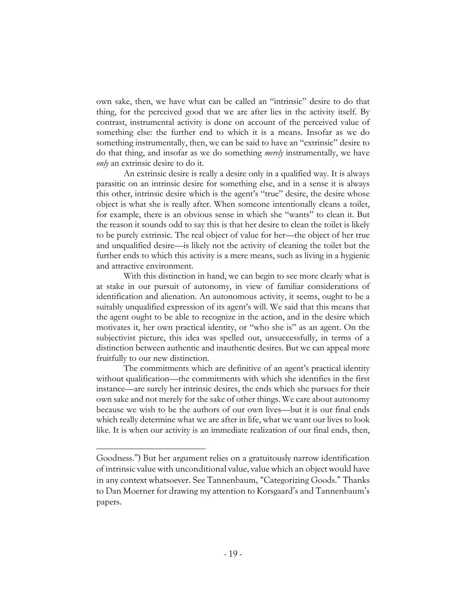own sake, then, we have what can be called an "intrinsic" desire to do that thing, for the perceived good that we are after lies in the activity itself. By contrast, instrumental activity is done on account of the perceived value of something else: the further end to which it is a means. Insofar as we do something instrumentally, then, we can be said to have an "extrinsic" desire to do that thing, and insofar as we do something *merely* instrumentally, we have *only* an extrinsic desire to do it.

An extrinsic desire is really a desire only in a qualified way. It is always parasitic on an intrinsic desire for something else, and in a sense it is always this other, intrinsic desire which is the agent's "true" desire, the desire whose object is what she is really after. When someone intentionally cleans a toilet, for example, there is an obvious sense in which she "wants" to clean it. But the reason it sounds odd to say this is that her desire to clean the toilet is likely to be purely extrinsic. The real object of value for her—the object of her true and unqualified desire—is likely not the activity of cleaning the toilet but the further ends to which this activity is a mere means, such as living in a hygienic and attractive environment.

With this distinction in hand, we can begin to see more clearly what is at stake in our pursuit of autonomy, in view of familiar considerations of identification and alienation. An autonomous activity, it seems, ought to be a suitably unqualified expression of its agent's will. We said that this means that the agent ought to be able to recognize in the action, and in the desire which motivates it, her own practical identity, or "who she is" as an agent. On the subjectivist picture, this idea was spelled out, unsuccessfully, in terms of a distinction between authentic and inauthentic desires. But we can appeal more fruitfully to our new distinction.

The commitments which are definitive of an agent's practical identity without qualification—the commitments with which she identifies in the first instance—are surely her intrinsic desires, the ends which she pursues for their own sake and not merely for the sake of other things. We care about autonomy because we wish to be the authors of our own lives—but it is our final ends which really determine what we are after in life, what we want our lives to look like. It is when our activity is an immediate realization of our final ends, then,

Goodness.") But her argument relies on a gratuitously narrow identification of intrinsic value with unconditional value, value which an object would have in any context whatsoever. See Tannenbaum, "Categorizing Goods." Thanks to Dan Moerner for drawing my attention to Korsgaard's and Tannenbaum's papers.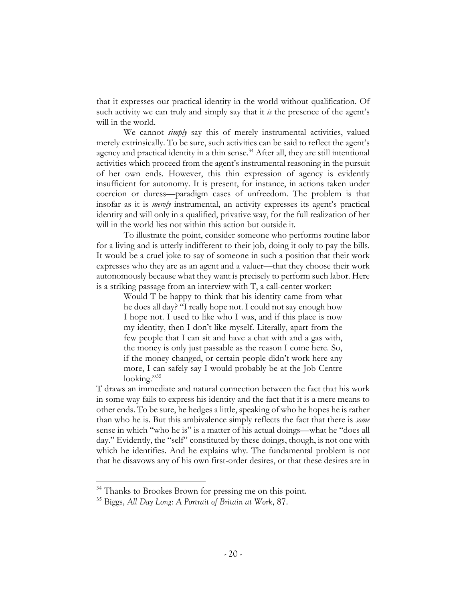that it expresses our practical identity in the world without qualification. Of such activity we can truly and simply say that it *is* the presence of the agent's will in the world.

We cannot *simply* say this of merely instrumental activities, valued merely extrinsically. To be sure, such activities can be said to reflect the agent's agency and practical identity in a thin sense.<sup>34</sup> After all, they are still intentional activities which proceed from the agent's instrumental reasoning in the pursuit of her own ends. However, this thin expression of agency is evidently insufficient for autonomy. It is present, for instance, in actions taken under coercion or duress—paradigm cases of unfreedom. The problem is that insofar as it is *merely* instrumental, an activity expresses its agent's practical identity and will only in a qualified, privative way, for the full realization of her will in the world lies not within this action but outside it.

To illustrate the point, consider someone who performs routine labor for a living and is utterly indifferent to their job, doing it only to pay the bills. It would be a cruel joke to say of someone in such a position that their work expresses who they are as an agent and a valuer—that they choose their work autonomously because what they want is precisely to perform such labor. Here is a striking passage from an interview with T, a call-center worker:

Would T be happy to think that his identity came from what he does all day? "I really hope not. I could not say enough how I hope not. I used to like who I was, and if this place is now my identity, then I don't like myself. Literally, apart from the few people that I can sit and have a chat with and a gas with, the money is only just passable as the reason I come here. So, if the money changed, or certain people didn't work here any more, I can safely say I would probably be at the Job Centre looking."<sup>35</sup>

T draws an immediate and natural connection between the fact that his work in some way fails to express his identity and the fact that it is a mere means to other ends. To be sure, he hedges a little, speaking of who he hopes he is rather than who he is. But this ambivalence simply reflects the fact that there is *some* sense in which "who he is" is a matter of his actual doings—what he "does all day." Evidently, the "self" constituted by these doings, though, is not one with which he identifies. And he explains why. The fundamental problem is not that he disavows any of his own first-order desires, or that these desires are in

<sup>&</sup>lt;sup>34</sup> Thanks to Brookes Brown for pressing me on this point.

<sup>35</sup> Biggs, *All Day Long: A Portrait of Britain at Work*, 87.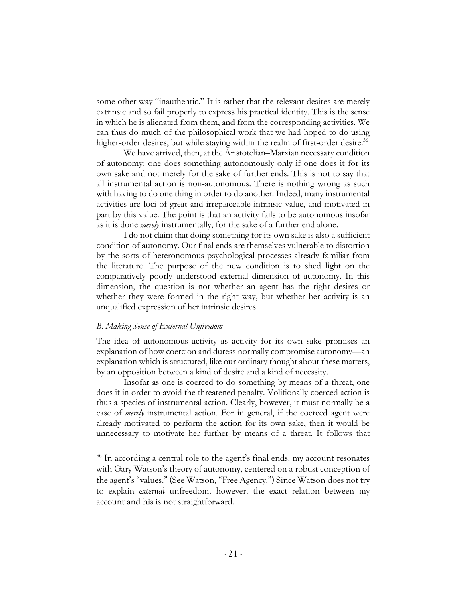some other way "inauthentic." It is rather that the relevant desires are merely extrinsic and so fail properly to express his practical identity. This is the sense in which he is alienated from them, and from the corresponding activities. We can thus do much of the philosophical work that we had hoped to do using higher-order desires, but while staying within the realm of first-order desire.<sup>36</sup>

We have arrived, then, at the Aristotelian–Marxian necessary condition of autonomy: one does something autonomously only if one does it for its own sake and not merely for the sake of further ends. This is not to say that all instrumental action is non-autonomous. There is nothing wrong as such with having to do one thing in order to do another. Indeed, many instrumental activities are loci of great and irreplaceable intrinsic value, and motivated in part by this value. The point is that an activity fails to be autonomous insofar as it is done *merely* instrumentally, for the sake of a further end alone.

I do not claim that doing something for its own sake is also a sufficient condition of autonomy. Our final ends are themselves vulnerable to distortion by the sorts of heteronomous psychological processes already familiar from the literature. The purpose of the new condition is to shed light on the comparatively poorly understood external dimension of autonomy. In this dimension, the question is not whether an agent has the right desires or whether they were formed in the right way, but whether her activity is an unqualified expression of her intrinsic desires.

# *B. Making Sense of External Unfreedom*

The idea of autonomous activity as activity for its own sake promises an explanation of how coercion and duress normally compromise autonomy—an explanation which is structured, like our ordinary thought about these matters, by an opposition between a kind of desire and a kind of necessity.

Insofar as one is coerced to do something by means of a threat, one does it in order to avoid the threatened penalty. Volitionally coerced action is thus a species of instrumental action. Clearly, however, it must normally be a case of *merely* instrumental action. For in general, if the coerced agent were already motivated to perform the action for its own sake, then it would be unnecessary to motivate her further by means of a threat. It follows that

<sup>&</sup>lt;sup>36</sup> In according a central role to the agent's final ends, my account resonates with Gary Watson's theory of autonomy, centered on a robust conception of the agent's "values." (See Watson, "Free Agency.") Since Watson does not try to explain *external* unfreedom, however, the exact relation between my account and his is not straightforward.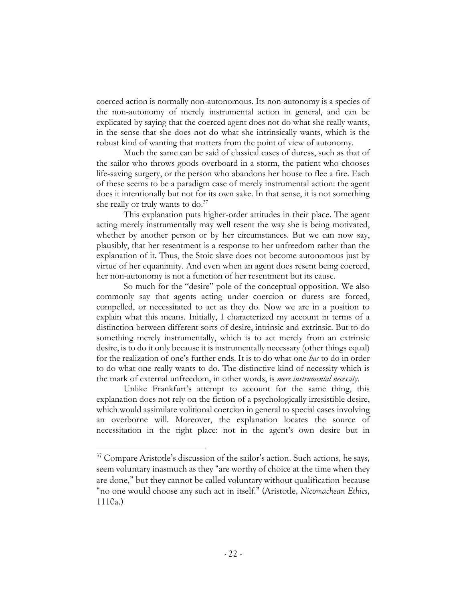coerced action is normally non-autonomous. Its non-autonomy is a species of the non-autonomy of merely instrumental action in general, and can be explicated by saying that the coerced agent does not do what she really wants, in the sense that she does not do what she intrinsically wants, which is the robust kind of wanting that matters from the point of view of autonomy.

Much the same can be said of classical cases of duress, such as that of the sailor who throws goods overboard in a storm, the patient who chooses life-saving surgery, or the person who abandons her house to flee a fire. Each of these seems to be a paradigm case of merely instrumental action: the agent does it intentionally but not for its own sake. In that sense, it is not something she really or truly wants to do.<sup>37</sup>

This explanation puts higher-order attitudes in their place. The agent acting merely instrumentally may well resent the way she is being motivated, whether by another person or by her circumstances. But we can now say, plausibly, that her resentment is a response to her unfreedom rather than the explanation of it. Thus, the Stoic slave does not become autonomous just by virtue of her equanimity. And even when an agent does resent being coerced, her non-autonomy is not a function of her resentment but its cause.

So much for the "desire" pole of the conceptual opposition. We also commonly say that agents acting under coercion or duress are forced, compelled, or necessitated to act as they do. Now we are in a position to explain what this means. Initially, I characterized my account in terms of a distinction between different sorts of desire, intrinsic and extrinsic. But to do something merely instrumentally, which is to act merely from an extrinsic desire, is to do it only because it is instrumentally necessary (other things equal) for the realization of one's further ends. It is to do what one *has* to do in order to do what one really wants to do. The distinctive kind of necessity which is the mark of external unfreedom, in other words, is *mere instrumental necessity*.

Unlike Frankfurt's attempt to account for the same thing, this explanation does not rely on the fiction of a psychologically irresistible desire, which would assimilate volitional coercion in general to special cases involving an overborne will. Moreover, the explanation locates the source of necessitation in the right place: not in the agent's own desire but in

 $37$  Compare Aristotle's discussion of the sailor's action. Such actions, he says, seem voluntary inasmuch as they "are worthy of choice at the time when they are done," but they cannot be called voluntary without qualification because "no one would choose any such act in itself." (Aristotle, *Nicomachean Ethics*, 1110a.)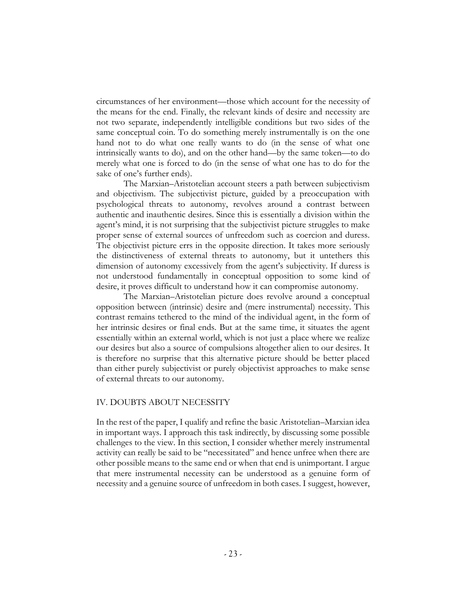circumstances of her environment—those which account for the necessity of the means for the end. Finally, the relevant kinds of desire and necessity are not two separate, independently intelligible conditions but two sides of the same conceptual coin. To do something merely instrumentally is on the one hand not to do what one really wants to do (in the sense of what one intrinsically wants to do), and on the other hand—by the same token—to do merely what one is forced to do (in the sense of what one has to do for the sake of one's further ends).

The Marxian–Aristotelian account steers a path between subjectivism and objectivism. The subjectivist picture, guided by a preoccupation with psychological threats to autonomy, revolves around a contrast between authentic and inauthentic desires. Since this is essentially a division within the agent's mind, it is not surprising that the subjectivist picture struggles to make proper sense of external sources of unfreedom such as coercion and duress. The objectivist picture errs in the opposite direction. It takes more seriously the distinctiveness of external threats to autonomy, but it untethers this dimension of autonomy excessively from the agent's subjectivity. If duress is not understood fundamentally in conceptual opposition to some kind of desire, it proves difficult to understand how it can compromise autonomy.

The Marxian–Aristotelian picture does revolve around a conceptual opposition between (intrinsic) desire and (mere instrumental) necessity. This contrast remains tethered to the mind of the individual agent, in the form of her intrinsic desires or final ends. But at the same time, it situates the agent essentially within an external world, which is not just a place where we realize our desires but also a source of compulsions altogether alien to our desires. It is therefore no surprise that this alternative picture should be better placed than either purely subjectivist or purely objectivist approaches to make sense of external threats to our autonomy.

### IV. DOUBTS ABOUT NECESSITY

In the rest of the paper, I qualify and refine the basic Aristotelian–Marxian idea in important ways. I approach this task indirectly, by discussing some possible challenges to the view. In this section, I consider whether merely instrumental activity can really be said to be "necessitated" and hence unfree when there are other possible means to the same end or when that end is unimportant. I argue that mere instrumental necessity can be understood as a genuine form of necessity and a genuine source of unfreedom in both cases. I suggest, however,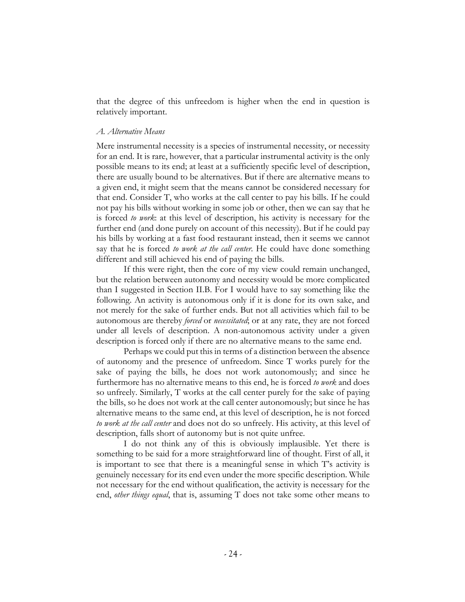that the degree of this unfreedom is higher when the end in question is relatively important.

## *A. Alternative Means*

Mere instrumental necessity is a species of instrumental necessity, or necessity for an end. It is rare, however, that a particular instrumental activity is the only possible means to its end; at least at a sufficiently specific level of description, there are usually bound to be alternatives. But if there are alternative means to a given end, it might seem that the means cannot be considered necessary for that end. Consider T, who works at the call center to pay his bills. If he could not pay his bills without working in some job or other, then we can say that he is forced *to work*: at this level of description, his activity is necessary for the further end (and done purely on account of this necessity). But if he could pay his bills by working at a fast food restaurant instead, then it seems we cannot say that he is forced *to work at the call center*. He could have done something different and still achieved his end of paying the bills.

If this were right, then the core of my view could remain unchanged, but the relation between autonomy and necessity would be more complicated than I suggested in Section II.B. For I would have to say something like the following. An activity is autonomous only if it is done for its own sake, and not merely for the sake of further ends. But not all activities which fail to be autonomous are thereby *forced* or *necessitated*; or at any rate, they are not forced under all levels of description. A non-autonomous activity under a given description is forced only if there are no alternative means to the same end.

Perhaps we could put this in terms of a distinction between the absence of autonomy and the presence of unfreedom. Since T works purely for the sake of paying the bills, he does not work autonomously; and since he furthermore has no alternative means to this end, he is forced *to work* and does so unfreely. Similarly, T works at the call center purely for the sake of paying the bills, so he does not work at the call center autonomously; but since he has alternative means to the same end, at this level of description, he is not forced *to work at the call center* and does not do so unfreely. His activity, at this level of description, falls short of autonomy but is not quite unfree.

I do not think any of this is obviously implausible. Yet there is something to be said for a more straightforward line of thought. First of all, it is important to see that there is a meaningful sense in which T's activity is genuinely necessary for its end even under the more specific description. While not necessary for the end without qualification, the activity is necessary for the end, *other things equal*, that is, assuming T does not take some other means to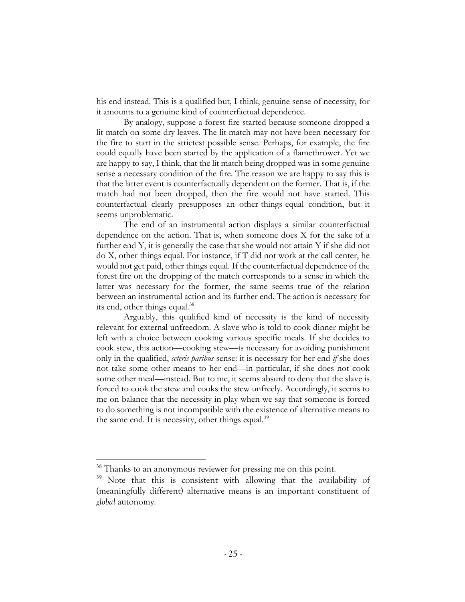his end instead. This is a qualified but, I think, genuine sense of necessity, for it amounts to a genuine kind of counterfactual dependence.

By analogy, suppose a forest fire started because someone dropped a lit match on some dry leaves. The lit match may not have been necessary for the fire to start in the strictest possible sense. Perhaps, for example, the fire could equally have been started by the application of a flamethrower. Yet we are happy to say, I think, that the lit match being dropped was in some genuine sense a necessary condition of the fire. The reason we are happy to say this is that the latter event is counterfactually dependent on the former. That is, if the match had not been dropped, then the fire would not have started. This counterfactual clearly presupposes an other-things-equal condition, but it seems unproblematic.

The end of an instrumental action displays a similar counterfactual dependence on the action. That is, when someone does X for the sake of a further end Y, it is generally the case that she would not attain Y if she did not do X, other things equal. For instance, if T did not work at the call center, he would not get paid, other things equal. If the counterfactual dependence of the forest fire on the dropping of the match corresponds to a sense in which the latter was necessary for the former, the same seems true of the relation between an instrumental action and its further end. The action is necessary for its end, other things equal.<sup>38</sup>

Arguably, this qualified kind of necessity is the kind of necessity relevant for external unfreedom. A slave who is told to cook dinner might be left with a choice between cooking various specific meals. If she decides to cook stew, this action—cooking stew—is necessary for avoiding punishment only in the qualified, *ceteris paribus* sense: it is necessary for her end *if* she does not take some other means to her end—in particular, if she does not cook some other meal—instead. But to me, it seems absurd to deny that the slave is forced to cook the stew and cooks the stew unfreely. Accordingly, it seems to me on balance that the necessity in play when we say that someone is forced to do something is not incompatible with the existence of alternative means to the same end. It is necessity, other things equal.<sup>39</sup>

<sup>&</sup>lt;sup>38</sup> Thanks to an anonymous reviewer for pressing me on this point.

<sup>&</sup>lt;sup>39</sup> Note that this is consistent with allowing that the availability of (meaningfully different) alternative means is an important constituent of *global* autonomy.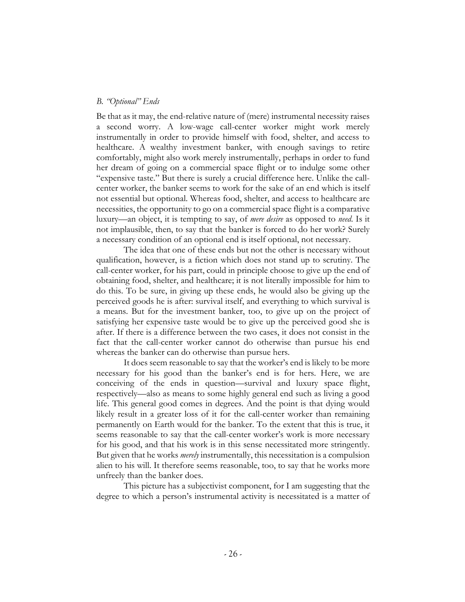### *B. "Optional" Ends*

Be that as it may, the end-relative nature of (mere) instrumental necessity raises a second worry. A low-wage call-center worker might work merely instrumentally in order to provide himself with food, shelter, and access to healthcare. A wealthy investment banker, with enough savings to retire comfortably, might also work merely instrumentally, perhaps in order to fund her dream of going on a commercial space flight or to indulge some other "expensive taste." But there is surely a crucial difference here. Unlike the callcenter worker, the banker seems to work for the sake of an end which is itself not essential but optional. Whereas food, shelter, and access to healthcare are necessities, the opportunity to go on a commercial space flight is a comparative luxury—an object, it is tempting to say, of *mere desire* as opposed to *need*. Is it not implausible, then, to say that the banker is forced to do her work? Surely a necessary condition of an optional end is itself optional, not necessary.

The idea that one of these ends but not the other is necessary without qualification, however, is a fiction which does not stand up to scrutiny. The call-center worker, for his part, could in principle choose to give up the end of obtaining food, shelter, and healthcare; it is not literally impossible for him to do this. To be sure, in giving up these ends, he would also be giving up the perceived goods he is after: survival itself, and everything to which survival is a means. But for the investment banker, too, to give up on the project of satisfying her expensive taste would be to give up the perceived good she is after. If there is a difference between the two cases, it does not consist in the fact that the call-center worker cannot do otherwise than pursue his end whereas the banker can do otherwise than pursue hers.

It does seem reasonable to say that the worker's end is likely to be more necessary for his good than the banker's end is for hers. Here, we are conceiving of the ends in question—survival and luxury space flight, respectively—also as means to some highly general end such as living a good life. This general good comes in degrees. And the point is that dying would likely result in a greater loss of it for the call-center worker than remaining permanently on Earth would for the banker. To the extent that this is true, it seems reasonable to say that the call-center worker's work is more necessary for his good, and that his work is in this sense necessitated more stringently. But given that he works *merely* instrumentally, this necessitation is a compulsion alien to his will. It therefore seems reasonable, too, to say that he works more unfreely than the banker does.

This picture has a subjectivist component, for I am suggesting that the degree to which a person's instrumental activity is necessitated is a matter of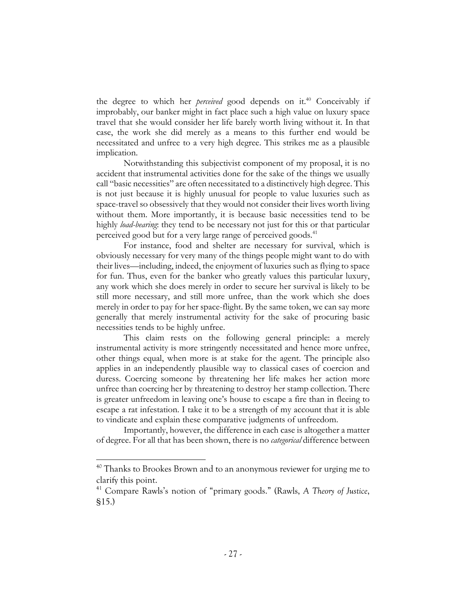the degree to which her *perceived* good depends on it.40 Conceivably if improbably, our banker might in fact place such a high value on luxury space travel that she would consider her life barely worth living without it. In that case, the work she did merely as a means to this further end would be necessitated and unfree to a very high degree. This strikes me as a plausible implication.

Notwithstanding this subjectivist component of my proposal, it is no accident that instrumental activities done for the sake of the things we usually call "basic necessities" are often necessitated to a distinctively high degree. This is not just because it is highly unusual for people to value luxuries such as space-travel so obsessively that they would not consider their lives worth living without them. More importantly, it is because basic necessities tend to be highly *load-bearing*: they tend to be necessary not just for this or that particular perceived good but for a very large range of perceived goods.<sup>41</sup>

For instance, food and shelter are necessary for survival, which is obviously necessary for very many of the things people might want to do with their lives—including, indeed, the enjoyment of luxuries such as flying to space for fun. Thus, even for the banker who greatly values this particular luxury, any work which she does merely in order to secure her survival is likely to be still more necessary, and still more unfree, than the work which she does merely in order to pay for her space-flight. By the same token, we can say more generally that merely instrumental activity for the sake of procuring basic necessities tends to be highly unfree.

This claim rests on the following general principle: a merely instrumental activity is more stringently necessitated and hence more unfree, other things equal, when more is at stake for the agent. The principle also applies in an independently plausible way to classical cases of coercion and duress. Coercing someone by threatening her life makes her action more unfree than coercing her by threatening to destroy her stamp collection. There is greater unfreedom in leaving one's house to escape a fire than in fleeing to escape a rat infestation. I take it to be a strength of my account that it is able to vindicate and explain these comparative judgments of unfreedom.

Importantly, however, the difference in each case is altogether a matter of degree. For all that has been shown, there is no *categorical* difference between

 $40$  Thanks to Brookes Brown and to an anonymous reviewer for urging me to clarify this point.

<sup>41</sup> Compare Rawls's notion of "primary goods." (Rawls, *A Theory of Justice*, §15.)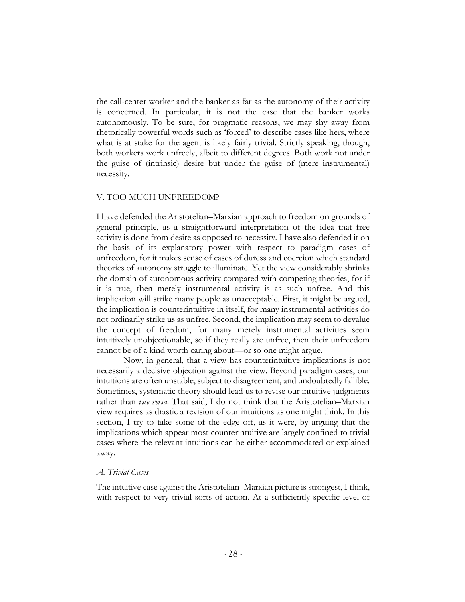the call-center worker and the banker as far as the autonomy of their activity is concerned. In particular, it is not the case that the banker works autonomously. To be sure, for pragmatic reasons, we may shy away from rhetorically powerful words such as 'forced' to describe cases like hers, where what is at stake for the agent is likely fairly trivial. Strictly speaking, though, both workers work unfreely, albeit to different degrees. Both work not under the guise of (intrinsic) desire but under the guise of (mere instrumental) necessity.

## V. TOO MUCH UNFREEDOM?

I have defended the Aristotelian–Marxian approach to freedom on grounds of general principle, as a straightforward interpretation of the idea that free activity is done from desire as opposed to necessity. I have also defended it on the basis of its explanatory power with respect to paradigm cases of unfreedom, for it makes sense of cases of duress and coercion which standard theories of autonomy struggle to illuminate. Yet the view considerably shrinks the domain of autonomous activity compared with competing theories, for if it is true, then merely instrumental activity is as such unfree. And this implication will strike many people as unacceptable. First, it might be argued, the implication is counterintuitive in itself, for many instrumental activities do not ordinarily strike us as unfree. Second, the implication may seem to devalue the concept of freedom, for many merely instrumental activities seem intuitively unobjectionable, so if they really are unfree, then their unfreedom cannot be of a kind worth caring about—or so one might argue.

Now, in general, that a view has counterintuitive implications is not necessarily a decisive objection against the view. Beyond paradigm cases, our intuitions are often unstable, subject to disagreement, and undoubtedly fallible. Sometimes, systematic theory should lead us to revise our intuitive judgments rather than *vice versa*. That said, I do not think that the Aristotelian–Marxian view requires as drastic a revision of our intuitions as one might think. In this section, I try to take some of the edge off, as it were, by arguing that the implications which appear most counterintuitive are largely confined to trivial cases where the relevant intuitions can be either accommodated or explained away.

# *A. Trivial Cases*

The intuitive case against the Aristotelian–Marxian picture is strongest, I think, with respect to very trivial sorts of action. At a sufficiently specific level of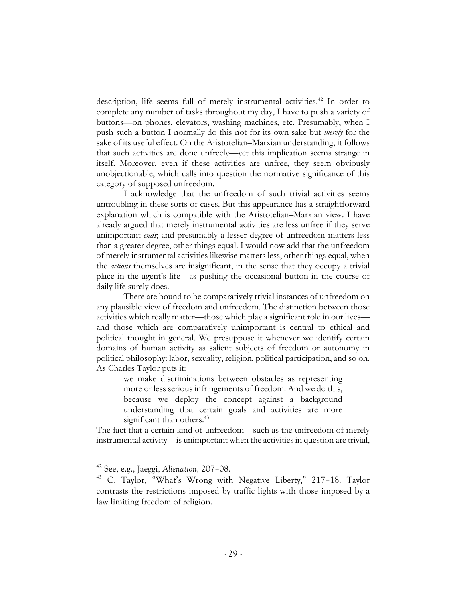description, life seems full of merely instrumental activities.<sup>42</sup> In order to complete any number of tasks throughout my day, I have to push a variety of buttons—on phones, elevators, washing machines, etc. Presumably, when I push such a button I normally do this not for its own sake but *merely* for the sake of its useful effect. On the Aristotelian–Marxian understanding, it follows that such activities are done unfreely—yet this implication seems strange in itself. Moreover, even if these activities are unfree, they seem obviously unobjectionable, which calls into question the normative significance of this category of supposed unfreedom.

I acknowledge that the unfreedom of such trivial activities seems untroubling in these sorts of cases. But this appearance has a straightforward explanation which is compatible with the Aristotelian–Marxian view. I have already argued that merely instrumental activities are less unfree if they serve unimportant *ends*; and presumably a lesser degree of unfreedom matters less than a greater degree, other things equal. I would now add that the unfreedom of merely instrumental activities likewise matters less, other things equal, when the *actions* themselves are insignificant, in the sense that they occupy a trivial place in the agent's life—as pushing the occasional button in the course of daily life surely does.

There are bound to be comparatively trivial instances of unfreedom on any plausible view of freedom and unfreedom. The distinction between those activities which really matter—those which play a significant role in our lives and those which are comparatively unimportant is central to ethical and political thought in general. We presuppose it whenever we identify certain domains of human activity as salient subjects of freedom or autonomy in political philosophy: labor, sexuality, religion, political participation, and so on. As Charles Taylor puts it:

> we make discriminations between obstacles as representing more or less serious infringements of freedom. And we do this, because we deploy the concept against a background understanding that certain goals and activities are more significant than others.<sup>43</sup>

The fact that a certain kind of unfreedom—such as the unfreedom of merely instrumental activity—is unimportant when the activities in question are trivial,

<sup>42</sup> See, e.g., Jaeggi, *Alienation*, 207–08.

<sup>43</sup> C. Taylor, "What's Wrong with Negative Liberty," 217–18. Taylor contrasts the restrictions imposed by traffic lights with those imposed by a law limiting freedom of religion.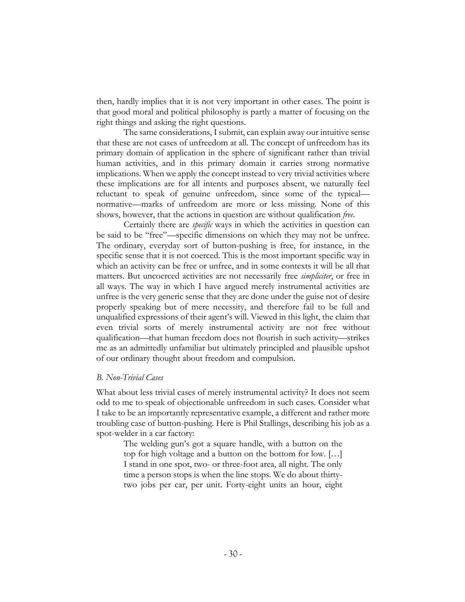then, hardly implies that it is not very important in other cases. The point is that good moral and political philosophy is partly a matter of focusing on the right things and asking the right questions.

The same considerations, I submit, can explain away our intuitive sense that these are not cases of unfreedom at all. The concept of unfreedom has its primary domain of application in the sphere of significant rather than trivial human activities, and in this primary domain it carries strong normative implications. When we apply the concept instead to very trivial activities where these implications are for all intents and purposes absent, we naturally feel reluctant to speak of genuine unfreedom, since some of the typical normative—marks of unfreedom are more or less missing. None of this shows, however, that the actions in question are without qualification *free*.

Certainly there are *specific* ways in which the activities in question can be said to be "free"—specific dimensions on which they may not be unfree. The ordinary, everyday sort of button-pushing is free, for instance, in the specific sense that it is not coerced. This is the most important specific way in which an activity can be free or unfree, and in some contexts it will be all that matters. But uncoerced activities are not necessarily free *simpliciter*, or free in all ways. The way in which I have argued merely instrumental activities are unfree is the very generic sense that they are done under the guise not of desire properly speaking but of mere necessity, and therefore fail to be full and unqualified expressions of their agent's will. Viewed in this light, the claim that even trivial sorts of merely instrumental activity are not free without qualification—that human freedom does not flourish in such activity—strikes me as an admittedly unfamiliar but ultimately principled and plausible upshot of our ordinary thought about freedom and compulsion.

### *B. Non-Trivial Cases*

What about less trivial cases of merely instrumental activity? It does not seem odd to me to speak of objectionable unfreedom in such cases. Consider what I take to be an importantly representative example, a different and rather more troubling case of button-pushing. Here is Phil Stallings, describing his job as a spot-welder in a car factory:

The welding gun's got a square handle, with a button on the top for high voltage and a button on the bottom for low. […] I stand in one spot, two- or three-foot area, all night. The only time a person stops is when the line stops. We do about thirtytwo jobs per car, per unit. Forty-eight units an hour, eight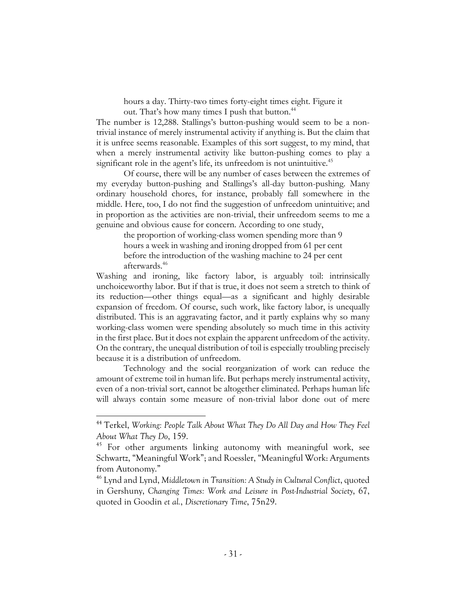hours a day. Thirty-two times forty-eight times eight. Figure it out. That's how many times I push that button.<sup>44</sup>

The number is 12,288. Stallings's button-pushing would seem to be a nontrivial instance of merely instrumental activity if anything is. But the claim that it is unfree seems reasonable. Examples of this sort suggest, to my mind, that when a merely instrumental activity like button-pushing comes to play a significant role in the agent's life, its unfreedom is not unintuitive.<sup>45</sup>

Of course, there will be any number of cases between the extremes of my everyday button-pushing and Stallings's all-day button-pushing. Many ordinary household chores, for instance, probably fall somewhere in the middle. Here, too, I do not find the suggestion of unfreedom unintuitive; and in proportion as the activities are non-trivial, their unfreedom seems to me a genuine and obvious cause for concern. According to one study,

the proportion of working-class women spending more than 9 hours a week in washing and ironing dropped from 61 per cent before the introduction of the washing machine to 24 per cent afterwards.46

Washing and ironing, like factory labor, is arguably toil: intrinsically unchoiceworthy labor. But if that is true, it does not seem a stretch to think of its reduction—other things equal—as a significant and highly desirable expansion of freedom. Of course, such work, like factory labor, is unequally distributed. This is an aggravating factor, and it partly explains why so many working-class women were spending absolutely so much time in this activity in the first place. But it does not explain the apparent unfreedom of the activity. On the contrary, the unequal distribution of toil is especially troubling precisely because it is a distribution of unfreedom.

Technology and the social reorganization of work can reduce the amount of extreme toil in human life. But perhaps merely instrumental activity, even of a non-trivial sort, cannot be altogether eliminated. Perhaps human life will always contain some measure of non-trivial labor done out of mere

<sup>44</sup> Terkel, *Working: People Talk About What They Do All Day and How They Feel About What They Do*, 159.

<sup>&</sup>lt;sup>45</sup> For other arguments linking autonomy with meaningful work, see Schwartz, "Meaningful Work"; and Roessler, "Meaningful Work: Arguments from Autonomy."

<sup>46</sup> Lynd and Lynd, *Middletown in Transition: A Study in Cultural Conflict*, quoted in Gershuny, *Changing Times: Work and Leisure in Post-Industrial Society*, 67, quoted in Goodin *et al.*, *Discretionary Time*, 75n29.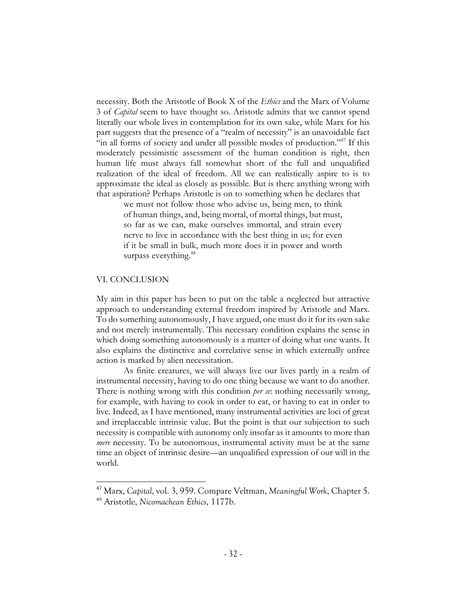necessity. Both the Aristotle of Book X of the *Ethics* and the Marx of Volume 3 of *Capital* seem to have thought so. Aristotle admits that we cannot spend literally our whole lives in contemplation for its own sake, while Marx for his part suggests that the presence of a "realm of necessity" is an unavoidable fact "in all forms of society and under all possible modes of production."<sup>47</sup> If this moderately pessimistic assessment of the human condition is right, then human life must always fall somewhat short of the full and unqualified realization of the ideal of freedom. All we can realistically aspire to is to approximate the ideal as closely as possible. But is there anything wrong with that aspiration? Perhaps Aristotle is on to something when he declares that

> we must not follow those who advise us, being men, to think of human things, and, being mortal, of mortal things, but must, so far as we can, make ourselves immortal, and strain every nerve to live in accordance with the best thing in us; for even if it be small in bulk, much more does it in power and worth surpass everything.<sup>48</sup>

#### VI. CONCLUSION

My aim in this paper has been to put on the table a neglected but attractive approach to understanding external freedom inspired by Aristotle and Marx. To do something autonomously, I have argued, one must do it for its own sake and not merely instrumentally. This necessary condition explains the sense in which doing something autonomously is a matter of doing what one wants. It also explains the distinctive and correlative sense in which externally unfree action is marked by alien necessitation.

As finite creatures, we will always live our lives partly in a realm of instrumental necessity, having to do one thing because we want to do another. There is nothing wrong with this condition *per se*: nothing necessarily wrong, for example, with having to cook in order to eat, or having to eat in order to live. Indeed, as I have mentioned, many instrumental activities are loci of great and irreplaceable intrinsic value. But the point is that our subjection to such necessity is compatible with autonomy only insofar as it amounts to more than *mere* necessity. To be autonomous, instrumental activity must be at the same time an object of intrinsic desire—an unqualified expression of our will in the world.

<sup>47</sup> Marx, *Capital*, vol. 3, 959. Compare Veltman, *Meaningful Work*, Chapter 5.

<sup>48</sup> Aristotle, *Nicomachean Ethics*, 1177b.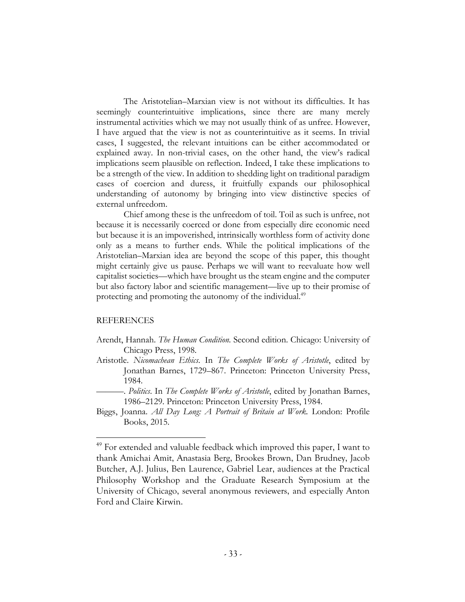The Aristotelian–Marxian view is not without its difficulties. It has seemingly counterintuitive implications, since there are many merely instrumental activities which we may not usually think of as unfree. However, I have argued that the view is not as counterintuitive as it seems. In trivial cases, I suggested, the relevant intuitions can be either accommodated or explained away. In non-trivial cases, on the other hand, the view's radical implications seem plausible on reflection. Indeed, I take these implications to be a strength of the view. In addition to shedding light on traditional paradigm cases of coercion and duress, it fruitfully expands our philosophical understanding of autonomy by bringing into view distinctive species of external unfreedom.

Chief among these is the unfreedom of toil. Toil as such is unfree, not because it is necessarily coerced or done from especially dire economic need but because it is an impoverished, intrinsically worthless form of activity done only as a means to further ends. While the political implications of the Aristotelian–Marxian idea are beyond the scope of this paper, this thought might certainly give us pause. Perhaps we will want to reevaluate how well capitalist societies—which have brought us the steam engine and the computer but also factory labor and scientific management—live up to their promise of protecting and promoting the autonomy of the individual.<sup>49</sup>

### REFERENCES

- Arendt, Hannah. *The Human Condition.* Second edition. Chicago: University of Chicago Press, 1998.
- Aristotle. *Nicomachean Ethics*. In *The Complete Works of Aristotle*, edited by Jonathan Barnes, 1729–867. Princeton: Princeton University Press, 1984.
- ———. *Politics*. In *The Complete Works of Aristotle*, edited by Jonathan Barnes, 1986–2129. Princeton: Princeton University Press, 1984.
- Biggs, Joanna. *All Day Long: A Portrait of Britain at Work.* London: Profile Books, 2015.

<sup>&</sup>lt;sup>49</sup> For extended and valuable feedback which improved this paper, I want to thank Amichai Amit, Anastasia Berg, Brookes Brown, Dan Brudney, Jacob Butcher, A.J. Julius, Ben Laurence, Gabriel Lear, audiences at the Practical Philosophy Workshop and the Graduate Research Symposium at the University of Chicago, several anonymous reviewers, and especially Anton Ford and Claire Kirwin.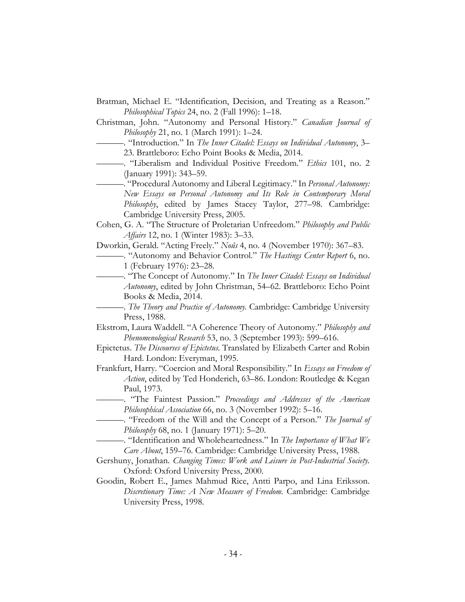- Bratman, Michael E. "Identification, Decision, and Treating as a Reason." *Philosophical Topics* 24, no. 2 (Fall 1996): 1–18.
- Christman, John. "Autonomy and Personal History." *Canadian Journal of Philosophy* 21, no. 1 (March 1991): 1–24.
- ———. "Introduction." In *The Inner Citadel: Essays on Individual Autonomy*, 3– 23. Brattleboro: Echo Point Books & Media, 2014.
- ———. "Liberalism and Individual Positive Freedom." *Ethics* 101, no. 2 (January 1991): 343–59.
	- ———. "Procedural Autonomy and Liberal Legitimacy." In *Personal Autonomy: New Essays on Personal Autonomy and Its Role in Contemporary Moral Philosophy*, edited by James Stacey Taylor, 277–98. Cambridge: Cambridge University Press, 2005.
- Cohen, G. A. "The Structure of Proletarian Unfreedom." *Philosophy and Public Affairs* 12, no. 1 (Winter 1983): 3–33.
- Dworkin, Gerald. "Acting Freely." *Noûs* 4, no. 4 (November 1970): 367–83.
	- ———. "Autonomy and Behavior Control." *The Hastings Center Report* 6, no. 1 (February 1976): 23–28.
- ———. "The Concept of Autonomy." In *The Inner Citadel: Essays on Individual Autonomy*, edited by John Christman, 54–62. Brattleboro: Echo Point Books & Media, 2014.
	- ———. *The Theory and Practice of Autonomy.* Cambridge: Cambridge University Press, 1988.
- Ekstrom, Laura Waddell. "A Coherence Theory of Autonomy." *Philosophy and Phenomenological Research* 53, no. 3 (September 1993): 599–616.
- Epictetus. *The Discourses of Epictetus.* Translated by Elizabeth Carter and Robin Hard. London: Everyman, 1995.
- Frankfurt, Harry. "Coercion and Moral Responsibility." In *Essays on Freedom of Action*, edited by Ted Honderich, 63–86. London: Routledge & Kegan Paul, 1973.
	- ———. "The Faintest Passion." *Proceedings and Addresses of the American Philosophical Association* 66, no. 3 (November 1992): 5–16.
	- ———. "Freedom of the Will and the Concept of a Person." *The Journal of Philosophy* 68, no. 1 (January 1971): 5–20.
- ———. "Identification and Wholeheartedness." In *The Importance of What We Care About*, 159–76. Cambridge: Cambridge University Press, 1988.
- Gershuny, Jonathan. *Changing Times: Work and Leisure in Post-Industrial Society.* Oxford: Oxford University Press, 2000.
- Goodin, Robert E., James Mahmud Rice, Antti Parpo, and Lina Eriksson. *Discretionary Time: A New Measure of Freedom.* Cambridge: Cambridge University Press, 1998.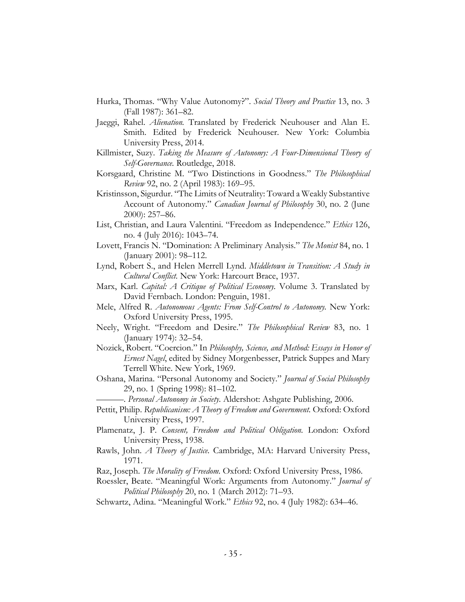- Hurka, Thomas. "Why Value Autonomy?". *Social Theory and Practice* 13, no. 3 (Fall 1987): 361–82.
- Jaeggi, Rahel. *Alienation.* Translated by Frederick Neuhouser and Alan E. Smith. Edited by Frederick Neuhouser. New York: Columbia University Press, 2014.
- Killmister, Suzy. *Taking the Measure of Autonomy: A Four-Dimensional Theory of Self-Governance.* Routledge, 2018.
- Korsgaard, Christine M. "Two Distinctions in Goodness." *The Philosophical Review* 92, no. 2 (April 1983): 169–95.
- Kristinsson, Sigurdur. "The Limits of Neutrality: Toward a Weakly Substantive Account of Autonomy." *Canadian Journal of Philosophy* 30, no. 2 (June 2000): 257–86.
- List, Christian, and Laura Valentini. "Freedom as Independence." *Ethics* 126, no. 4 (July 2016): 1043–74.
- Lovett, Francis N. "Domination: A Preliminary Analysis." *The Monist* 84, no. 1 (January 2001): 98–112.
- Lynd, Robert S., and Helen Merrell Lynd. *Middletown in Transition: A Study in Cultural Conflict.* New York: Harcourt Brace, 1937.
- Marx, Karl. *Capital: A Critique of Political Economy.* Volume 3. Translated by David Fernbach. London: Penguin, 1981.
- Mele, Alfred R. *Autonomous Agents: From Self-Control to Autonomy.* New York: Oxford University Press, 1995.
- Neely, Wright. "Freedom and Desire." *The Philosophical Review* 83, no. 1 (January 1974): 32–54.
- Nozick, Robert. "Coercion." In *Philosophy, Science, and Method: Essays in Honor of Ernest Nagel*, edited by Sidney Morgenbesser, Patrick Suppes and Mary Terrell White. New York, 1969.
- Oshana, Marina. "Personal Autonomy and Society." *Journal of Social Philosophy*  29, no. 1 (Spring 1998): 81–102.
	- ———. *Personal Autonomy in Society.* Aldershot: Ashgate Publishing, 2006.
- Pettit, Philip. *Republicanism: A Theory of Freedom and Government.* Oxford: Oxford University Press, 1997.
- Plamenatz, J. P. *Consent, Freedom and Political Obligation.* London: Oxford University Press, 1938.
- Rawls, John. *A Theory of Justice.* Cambridge, MA: Harvard University Press, 1971.

Raz, Joseph. *The Morality of Freedom.* Oxford: Oxford University Press, 1986.

- Roessler, Beate. "Meaningful Work: Arguments from Autonomy." *Journal of Political Philosophy* 20, no. 1 (March 2012): 71–93.
- Schwartz, Adina. "Meaningful Work." *Ethics* 92, no. 4 (July 1982): 634–46.